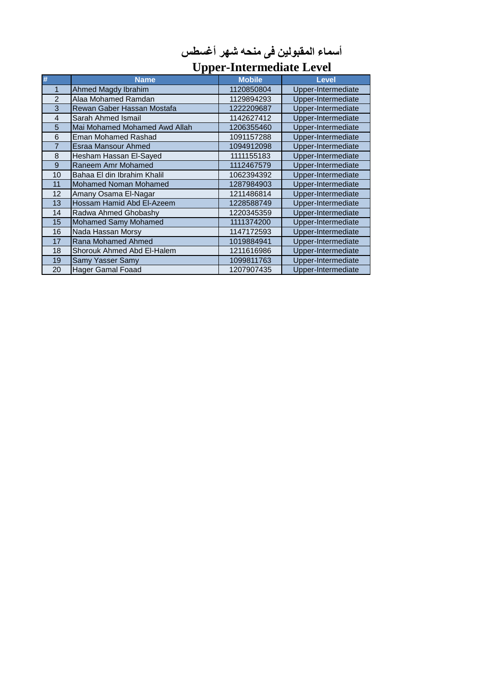| أسماء المقبولين في منحه شهر أغسطس |
|-----------------------------------|
|-----------------------------------|

## **Upper-Intermediate Level**

| #              | <b>Name</b>                   | <b>Mobile</b> | Level              |  |
|----------------|-------------------------------|---------------|--------------------|--|
| 1              | Ahmed Magdy Ibrahim           | 1120850804    | Upper-Intermediate |  |
| $\overline{2}$ | Alaa Mohamed Ramdan           | 1129894293    | Upper-Intermediate |  |
| 3              | Rewan Gaber Hassan Mostafa    | 1222209687    | Upper-Intermediate |  |
| $\overline{4}$ | Sarah Ahmed Ismail            | 1142627412    | Upper-Intermediate |  |
| 5              | Mai Mohamed Mohamed Awd Allah | 1206355460    | Upper-Intermediate |  |
| 6              | <b>Eman Mohamed Rashad</b>    | 1091157288    | Upper-Intermediate |  |
| 7              | Esraa Mansour Ahmed           | 1094912098    | Upper-Intermediate |  |
| 8              | Hesham Hassan El-Sayed        | 1111155183    | Upper-Intermediate |  |
| 9              | Raneem Amr Mohamed            | 1112467579    | Upper-Intermediate |  |
| 10             | Bahaa El din Ibrahim Khalil   | 1062394392    | Upper-Intermediate |  |
| 11             | <b>Mohamed Noman Mohamed</b>  | 1287984903    | Upper-Intermediate |  |
| 12             | Amany Osama El-Nagar          | 1211486814    | Upper-Intermediate |  |
| 13             | Hossam Hamid Abd El-Azeem     | 1228588749    | Upper-Intermediate |  |
| 14             | Radwa Ahmed Ghobashy          | 1220345359    | Upper-Intermediate |  |
| 15             | <b>Mohamed Samy Mohamed</b>   | 1111374200    | Upper-Intermediate |  |
| 16             | Nada Hassan Morsy             | 1147172593    | Upper-Intermediate |  |
| 17             | Rana Mohamed Ahmed            | 1019884941    | Upper-Intermediate |  |
| 18             | Shorouk Ahmed Abd El-Halem    | 1211616986    | Upper-Intermediate |  |
| 19             | Samy Yasser Samy              | 1099811763    | Upper-Intermediate |  |
| 20             | Hager Gamal Foaad             | 1207907435    | Upper-Intermediate |  |